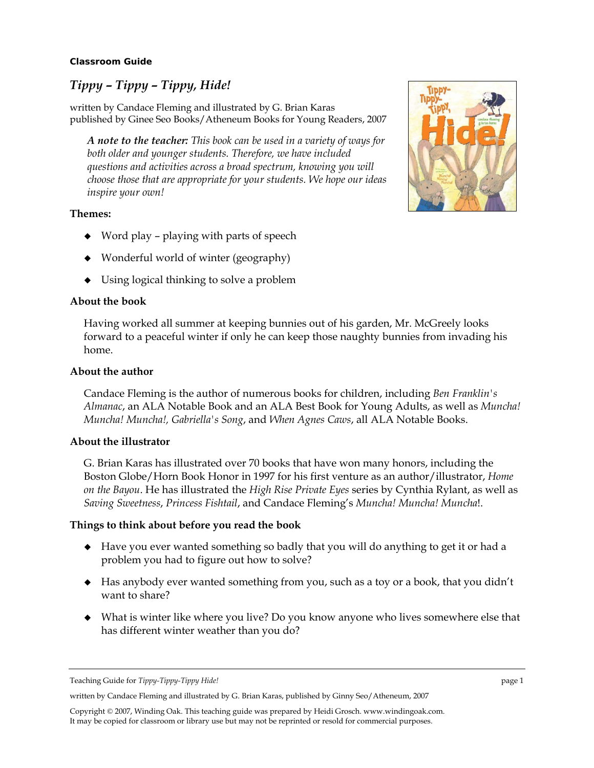#### **Classroom Guide**

## *Tippy – Tippy – Tippy, Hide!*

written by Candace Fleming and illustrated by G. Brian Karas published by Ginee Seo Books/Atheneum Books for Young Readers, 2007

*A note to the teacher: This book can be used in a variety of ways for both older and younger students. Therefore, we have included questions and activities across a broad spectrum, knowing you will choose those that are appropriate for your students. We hope our ideas inspire your own!* 

#### **Themes:**

- $\blacklozenge$  Word play playing with parts of speech
- Wonderful world of winter (geography)
- $\bullet$  Using logical thinking to solve a problem

#### **About the book**

Having worked all summer at keeping bunnies out of his garden, Mr. McGreely looks forward to a peaceful winter if only he can keep those naughty bunnies from invading his home.

#### **About the author**

Candace Fleming is the author of numerous books for children, including *Ben Franklin's Almanac*, an ALA Notable Book and an ALA Best Book for Young Adults, as well as *Muncha! Muncha! Muncha!, Gabriella's Song*, and *When Agnes Caws*, all ALA Notable Books.

#### **About the illustrator**

G. Brian Karas has illustrated over 70 books that have won many honors, including the Boston Globe/Horn Book Honor in 1997 for his first venture as an author/illustrator, *Home on the Bayou*. He has illustrated the *High Rise Private Eyes* series by Cynthia Rylant, as well as *Saving Sweetness*, *Princess Fishtail*, and Candace Fleming's *Muncha! Muncha! Muncha*!.

#### **Things to think about before you read the book**

- Have you ever wanted something so badly that you will do anything to get it or had a problem you had to figure out how to solve?
- Has anybody ever wanted something from you, such as a toy or a book, that you didn't want to share?
- What is winter like where you live? Do you know anyone who lives somewhere else that has different winter weather than you do?

written by Candace Fleming and illustrated by G. Brian Karas, published by Ginny Seo/Atheneum, 2007



Teaching Guide for *Tippy-Tippy-Tippy Hide!* page 1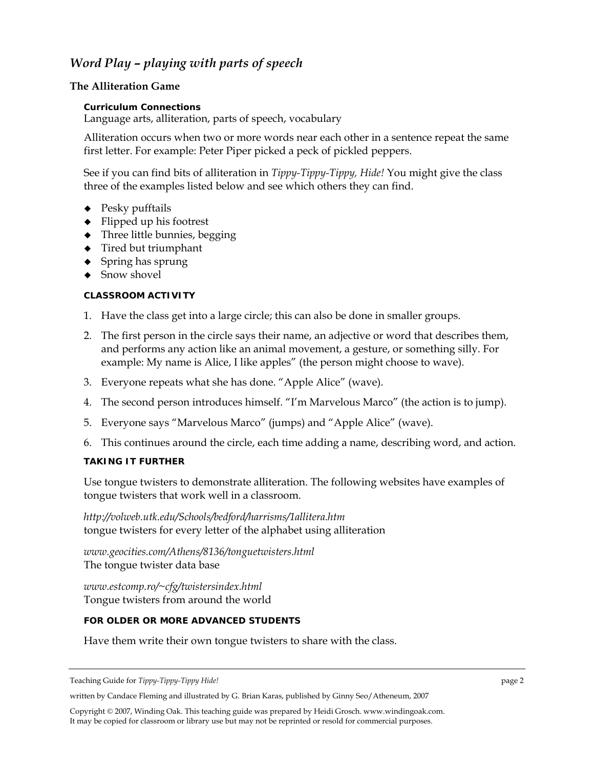# *Word Play – playing with parts of speech*

## **The Alliteration Game**

## **Curriculum Connections**

Language arts, alliteration, parts of speech, vocabulary

Alliteration occurs when two or more words near each other in a sentence repeat the same first letter. For example: Peter Piper picked a peck of pickled peppers.

See if you can find bits of alliteration in *Tippy-Tippy-Tippy, Hide!* You might give the class three of the examples listed below and see which others they can find.

- $\leftarrow$  Pesky pufftails
- $\blacklozenge$  Flipped up his footrest
- Three little bunnies, begging
- ◆ Tired but triumphant
- $\bullet$  Spring has sprung
- ◆ Snow shovel

## **CLASSROOM ACTIVITY**

- 1. Have the class get into a large circle; this can also be done in smaller groups.
- 2. The first person in the circle says their name, an adjective or word that describes them, and performs any action like an animal movement, a gesture, or something silly. For example: My name is Alice, I like apples" (the person might choose to wave).
- 3. Everyone repeats what she has done. "Apple Alice" (wave).
- 4. The second person introduces himself. "I'm Marvelous Marco" (the action is to jump).
- 5. Everyone says "Marvelous Marco" (jumps) and "Apple Alice" (wave).
- 6. This continues around the circle, each time adding a name, describing word, and action.

## **TAKING IT FURTHER**

Use tongue twisters to demonstrate alliteration. The following websites have examples of tongue twisters that work well in a classroom.

*http://volweb.utk.edu/Schools/bedford/harrisms/1allitera.htm*  tongue twisters for every letter of the alphabet using alliteration

*www.geocities.com/Athens/8136/tonguetwisters.html*  The tongue twister data base

*www.estcomp.ro/~cfg/twistersindex.html*  Tongue twisters from around the world

## **FOR OLDER OR MORE ADVANCED STUDENTS**

Have them write their own tongue twisters to share with the class.

written by Candace Fleming and illustrated by G. Brian Karas, published by Ginny Seo/Atheneum, 2007

Teaching Guide for *Tippy-Tippy-Tippy Hide!* page 2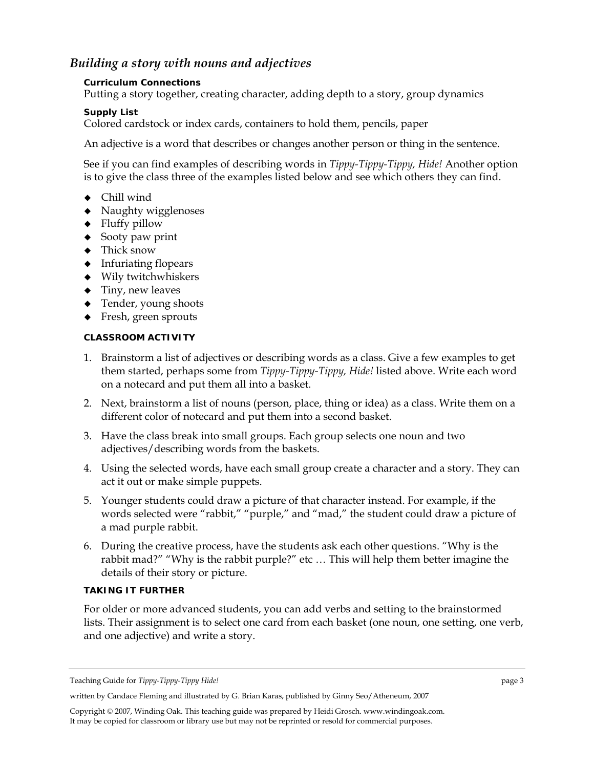## *Building a story with nouns and adjectives*

### **Curriculum Connections**

Putting a story together, creating character, adding depth to a story, group dynamics

## **Supply List**

Colored cardstock or index cards, containers to hold them, pencils, paper

An adjective is a word that describes or changes another person or thing in the sentence.

See if you can find examples of describing words in *Tippy-Tippy-Tippy, Hide!* Another option is to give the class three of the examples listed below and see which others they can find.

- Chill wind
- Naughty wigglenoses
- Fluffy pillow
- $\bullet$  Sooty paw print
- Thick snow
- Infuriating flopears
- Wily twitchwhiskers
- $\blacklozenge$  Tiny, new leaves
- ◆ Tender, young shoots
- Fresh, green sprouts

### **CLASSROOM ACTIVITY**

- 1. Brainstorm a list of adjectives or describing words as a class. Give a few examples to get them started, perhaps some from *Tippy-Tippy-Tippy, Hide!* listed above. Write each word on a notecard and put them all into a basket.
- 2. Next, brainstorm a list of nouns (person, place, thing or idea) as a class. Write them on a different color of notecard and put them into a second basket.
- 3. Have the class break into small groups. Each group selects one noun and two adjectives/describing words from the baskets.
- 4. Using the selected words, have each small group create a character and a story. They can act it out or make simple puppets.
- 5. Younger students could draw a picture of that character instead. For example, if the words selected were "rabbit," "purple," and "mad," the student could draw a picture of a mad purple rabbit.
- 6. During the creative process, have the students ask each other questions. "Why is the rabbit mad?" "Why is the rabbit purple?" etc … This will help them better imagine the details of their story or picture.

## **TAKING IT FURTHER**

For older or more advanced students, you can add verbs and setting to the brainstormed lists. Their assignment is to select one card from each basket (one noun, one setting, one verb, and one adjective) and write a story.

Teaching Guide for *Tippy-Tippy-Tippy Hide!* page 3

written by Candace Fleming and illustrated by G. Brian Karas, published by Ginny Seo/Atheneum, 2007

Copyright © 2007, Winding Oak. This teaching guide was prepared by Heidi Grosch. www.windingoak.com. It may be copied for classroom or library use but may not be reprinted or resold for commercial purposes.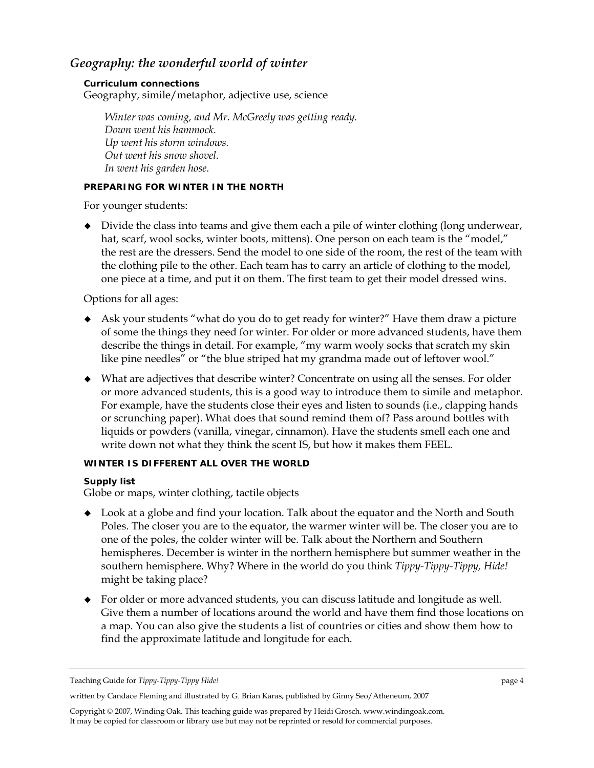## *Geography: the wonderful world of winter*

#### **Curriculum connections**

Geography, simile/metaphor, adjective use, science

*Winter was coming, and Mr. McGreely was getting ready. Down went his hammock. Up went his storm windows. Out went his snow shovel. In went his garden hose.* 

#### **PREPARING FOR WINTER IN THE NORTH**

For younger students:

 Divide the class into teams and give them each a pile of winter clothing (long underwear, hat, scarf, wool socks, winter boots, mittens). One person on each team is the "model," the rest are the dressers. Send the model to one side of the room, the rest of the team with the clothing pile to the other. Each team has to carry an article of clothing to the model, one piece at a time, and put it on them. The first team to get their model dressed wins.

Options for all ages:

- Ask your students "what do you do to get ready for winter?" Have them draw a picture of some the things they need for winter. For older or more advanced students, have them describe the things in detail. For example, "my warm wooly socks that scratch my skin like pine needles" or "the blue striped hat my grandma made out of leftover wool."
- What are adjectives that describe winter? Concentrate on using all the senses. For older or more advanced students, this is a good way to introduce them to simile and metaphor. For example, have the students close their eyes and listen to sounds (i.e., clapping hands or scrunching paper). What does that sound remind them of? Pass around bottles with liquids or powders (vanilla, vinegar, cinnamon). Have the students smell each one and write down not what they think the scent IS, but how it makes them FEEL.

## **WINTER IS DIFFERENT ALL OVER THE WORLD**

#### **Supply list**

Globe or maps, winter clothing, tactile objects

- Look at a globe and find your location. Talk about the equator and the North and South Poles. The closer you are to the equator, the warmer winter will be. The closer you are to one of the poles, the colder winter will be. Talk about the Northern and Southern hemispheres. December is winter in the northern hemisphere but summer weather in the southern hemisphere. Why? Where in the world do you think *Tippy-Tippy-Tippy, Hide!* might be taking place?
- For older or more advanced students, you can discuss latitude and longitude as well. Give them a number of locations around the world and have them find those locations on a map. You can also give the students a list of countries or cities and show them how to find the approximate latitude and longitude for each.

written by Candace Fleming and illustrated by G. Brian Karas, published by Ginny Seo/Atheneum, 2007

Teaching Guide for *Tippy-Tippy-Tippy Hide!* page 4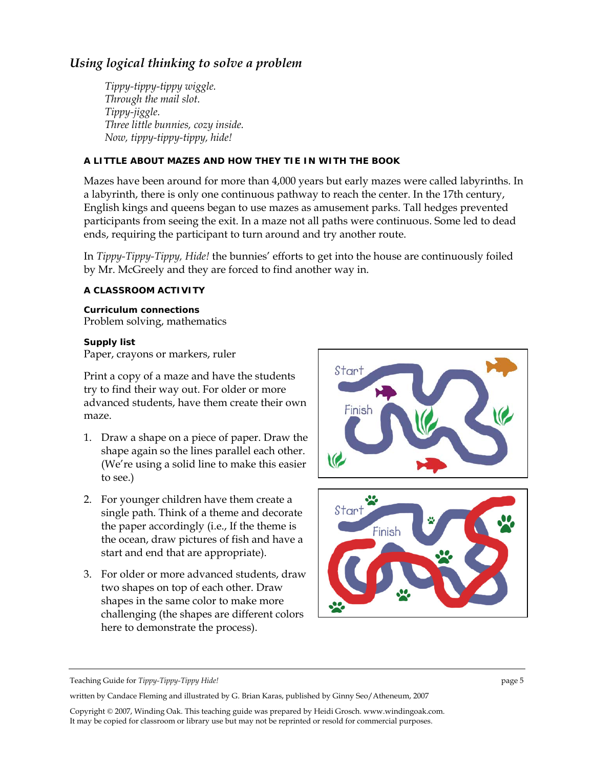# *Using logical thinking to solve a problem*

*Tippy-tippy-tippy wiggle. Through the mail slot. Tippy-jiggle. Three little bunnies, cozy inside. Now, tippy-tippy-tippy, hide!* 

## **A LITTLE ABOUT MAZES AND HOW THEY TIE IN WITH THE BOOK**

Mazes have been around for more than 4,000 years but early mazes were called labyrinths. In a labyrinth, there is only one continuous pathway to reach the center. In the 17th century, English kings and queens began to use mazes as amusement parks. Tall hedges prevented participants from seeing the exit. In a maze not all paths were continuous. Some led to dead ends, requiring the participant to turn around and try another route.

In *Tippy-Tippy-Tippy, Hide!* the bunnies' efforts to get into the house are continuously foiled by Mr. McGreely and they are forced to find another way in.

### **A CLASSROOM ACTIVITY**

**Curriculum connections**  Problem solving, mathematics

#### **Supply list**

Paper, crayons or markers, ruler

Print a copy of a maze and have the students try to find their way out. For older or more advanced students, have them create their own maze.

- 1. Draw a shape on a piece of paper. Draw the shape again so the lines parallel each other. (We're using a solid line to make this easier to see.)
- 2. For younger children have them create a single path. Think of a theme and decorate the paper accordingly (i.e., If the theme is the ocean, draw pictures of fish and have a start and end that are appropriate).
- 3. For older or more advanced students, draw two shapes on top of each other. Draw shapes in the same color to make more challenging (the shapes are different colors here to demonstrate the process).





Teaching Guide for *Tippy-Tippy-Tippy Hide!* page 5

written by Candace Fleming and illustrated by G. Brian Karas, published by Ginny Seo/Atheneum, 2007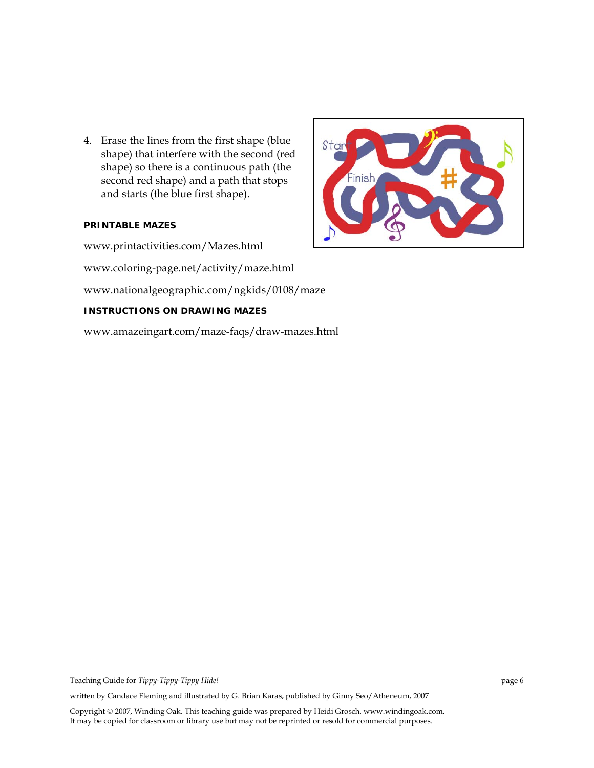4. Erase the lines from the first shape (blue shape) that interfere with the second (red shape) so there is a continuous path (the second red shape) and a path that stops and starts (the blue first shape).

#### **PRINTABLE MAZES**

www.printactivities.com/Mazes.html

www.coloring-page.net/activity/maze.html

www.nationalgeographic.com/ngkids/0108/maze

#### **INSTRUCTIONS ON DRAWING MAZES**

www.amazeingart.com/maze-faqs/draw-mazes.html



written by Candace Fleming and illustrated by G. Brian Karas, published by Ginny Seo/Atheneum, 2007

Teaching Guide for *Tippy-Tippy-Tippy Hide!* page 6